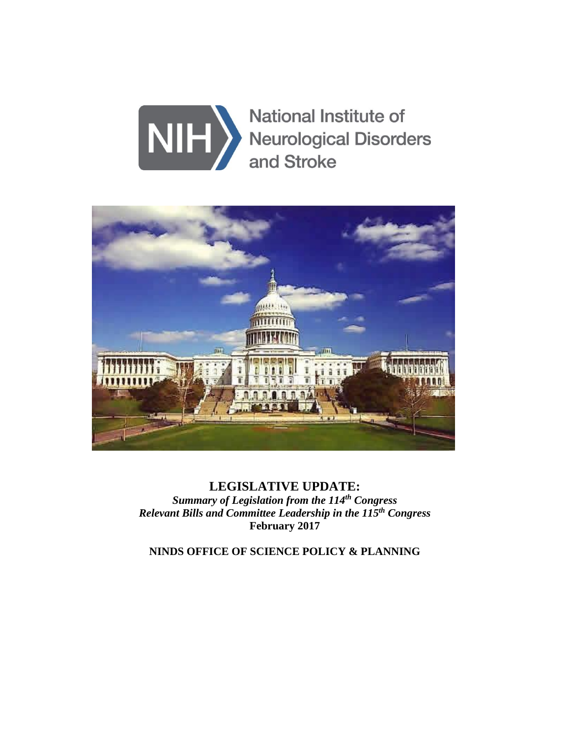



**LEGISLATIVE UPDATE:**  *Summary of Legislation from the 114th Congress Relevant Bills and Committee Leadership in the 115th Congress*  **February 2017** 

**NINDS OFFICE OF SCIENCE POLICY & PLANNING**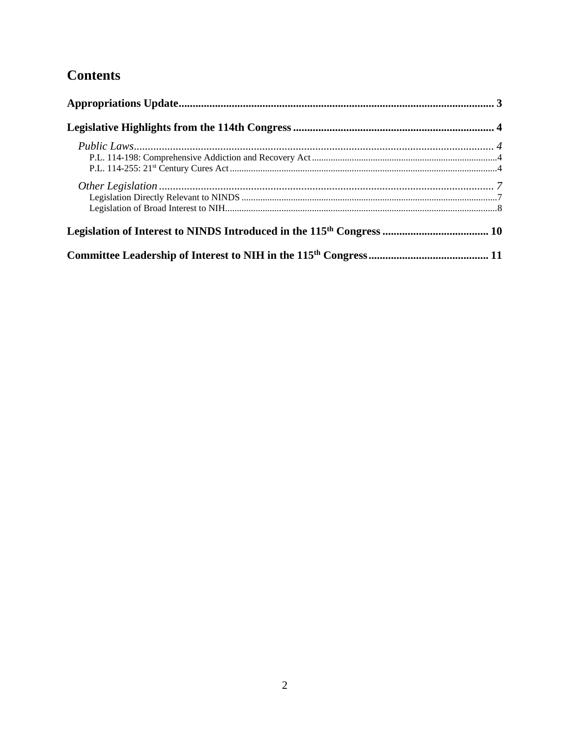# **Contents**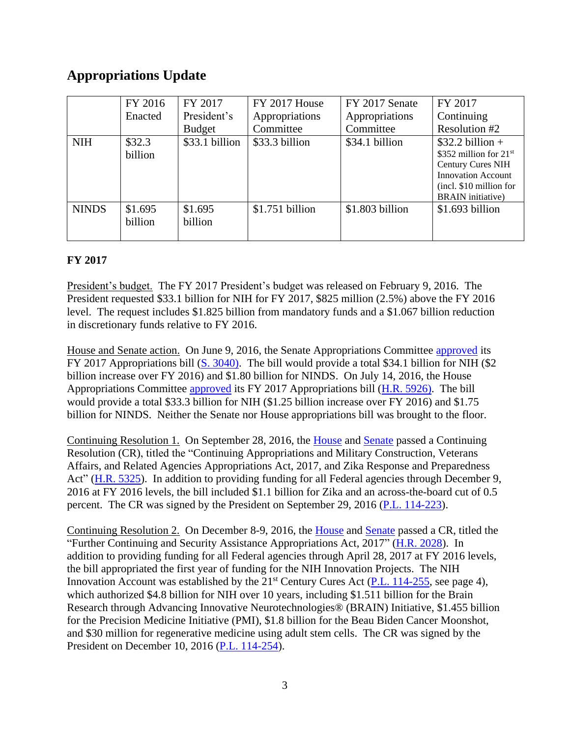## <span id="page-2-0"></span>**Appropriations Update**

|              | FY 2016 | FY 2017        | FY 2017 House    | FY 2017 Senate  | FY 2017                   |
|--------------|---------|----------------|------------------|-----------------|---------------------------|
|              | Enacted | President's    | Appropriations   | Appropriations  | Continuing                |
|              |         | <b>Budget</b>  | Committee        | Committee       | Resolution #2             |
| <b>NIH</b>   | \$32.3  | \$33.1 billion | \$33.3 billion   | \$34.1 billion  | $$32.2 billion +$         |
|              | billion |                |                  |                 | \$352 million for 21st    |
|              |         |                |                  |                 | <b>Century Cures NIH</b>  |
|              |         |                |                  |                 | <b>Innovation Account</b> |
|              |         |                |                  |                 | (incl. \$10 million for   |
|              |         |                |                  |                 | <b>BRAIN</b> initiative)  |
| <b>NINDS</b> | \$1.695 | \$1.695        | $$1.751$ billion | \$1.803 billion | $$1.693$ billion          |
|              | billion | billion        |                  |                 |                           |
|              |         |                |                  |                 |                           |

## **FY 2017**

President's budget. The FY 2017 President's budget was released on February 9, 2016. The President requested \$33.1 billion for NIH for FY 2017, \$825 million (2.5%) above the FY 2016 level. The request includes \$1.825 billion from mandatory funds and a \$1.067 billion reduction in discretionary funds relative to FY 2016.

House and Senate action. On June 9, 2016, the Senate Appropriations Committee [approved](http://appropriations.house.gov/news/documentsingle.aspx?DocumentID=394649) its FY 2017 Appropriations bill [\(S. 3040\)](https://www.congress.gov/bill/114th-congress/senate-bill/3040). The bill would provide a total \$34.1 billion for NIH (\$2) billion increase over FY 2016) and \$1.80 billion for NINDS. On July 14, 2016, the House Appropriations Committee [approved](http://appropriations.house.gov/news/documentsingle.aspx?DocumentID=394649) its FY 2017 Appropriations bill [\(H.R. 5926\)](https://www.congress.gov/bill/114th-congress/house-bill/5926). The bill would provide a total \$33.3 billion for NIH (\$1.25 billion increase over FY 2016) and \$1.75 billion for NINDS. Neither the Senate nor House appropriations bill was brought to the floor.

Continuing Resolution 1. On September 28, 2016, the [House](http://clerk.house.gov/evs/2016/roll573.xml) and [Senate](http://www.senate.gov/legislative/LIS/roll_call_lists/roll_call_vote_cfm.cfm?congress=114&session=2&vote=00151) passed a Continuing Resolution (CR), titled the "Continuing Appropriations and Military Construction, Veterans Affairs, and Related Agencies Appropriations Act, 2017, and Zika Response and Preparedness Act" [\(H.R. 5325\)](https://www.congress.gov/bill/114th-congress/house-bill/5325). In addition to providing funding for all Federal agencies through December 9, 2016 at FY 2016 levels, the bill included \$1.1 billion for Zika and an across-the-board cut of 0.5 percent. The CR was signed by the President on September 29, 2016 [\(P.L. 114-223\)](https://www.congress.gov/bill/114th-congress/house-bill/5325).

Continuing Resolution 2. On December 8-9, 2016, the [House](http://clerk.house.gov/evs/2016/roll620.xml) and [Senate](http://www.senate.gov/legislative/LIS/roll_call_lists/roll_call_vote_cfm.cfm?congress=114&session=2&vote=00161) passed a CR, titled the "Further Continuing and Security Assistance Appropriations Act, 2017" [\(H.R. 2028\)](https://www.congress.gov/bill/114th-congress/house-bill/2028). In addition to providing funding for all Federal agencies through April 28, 2017 at FY 2016 levels, the bill appropriated the first year of funding for the NIH Innovation Projects. The NIH Innovation Account was established by the  $21<sup>st</sup>$  Century Cures Act [\(P.L. 114-255,](https://www.congress.gov/bill/114th-congress/house-bill/34) see page [4\)](#page-3-3), which authorized \$4.8 billion for NIH over 10 years, including \$1.511 billion for the Brain Research through Advancing Innovative Neurotechnologies® (BRAIN) Initiative, \$1.455 billion for the Precision Medicine Initiative (PMI), \$1.8 billion for the Beau Biden Cancer Moonshot, and \$30 million for regenerative medicine using adult stem cells. The CR was signed by the President on December 10, 2016 (P.L. [114-254\)](https://www.congress.gov/bill/114th-congress/house-bill/2028).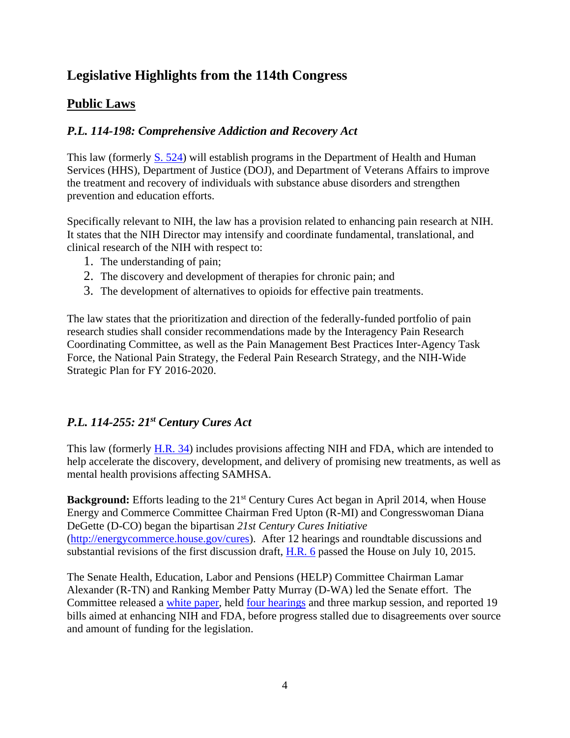# <span id="page-3-0"></span>**Legislative Highlights from the 114th Congress**

## <span id="page-3-1"></span>**Public Laws**

## <span id="page-3-2"></span>*P.L. 114-198: Comprehensive Addiction and Recovery Act*

This law (formerly [S. 524\)](https://www.congress.gov/bill/114th-congress/senate-bill/524) will establish programs in the Department of Health and Human Services (HHS), Department of Justice (DOJ), and Department of Veterans Affairs to improve the treatment and recovery of individuals with substance abuse disorders and strengthen prevention and education efforts.

Specifically relevant to NIH, the law has a provision related to enhancing pain research at NIH. It states that the NIH Director may intensify and coordinate fundamental, translational, and clinical research of the NIH with respect to:

- 1. The understanding of pain;
- 2. The discovery and development of therapies for chronic pain; and
- 3. The development of alternatives to opioids for effective pain treatments.

The law states that the prioritization and direction of the federally-funded portfolio of pain research studies shall consider recommendations made by the Interagency Pain Research Coordinating Committee, as well as the Pain Management Best Practices Inter-Agency Task Force, the National Pain Strategy, the Federal Pain Research Strategy, and the NIH-Wide Strategic Plan for FY 2016-2020.

## <span id="page-3-3"></span>*P.L. 114-255: 21st Century Cures Act*

This law (formerly [H.R. 34\)](https://www.congress.gov/bill/114th-congress/house-bill/34) includes provisions affecting NIH and FDA, which are intended to help accelerate the discovery, development, and delivery of promising new treatments, as well as mental health provisions affecting SAMHSA.

**Background:** Efforts leading to the 21<sup>st</sup> Century Cures Act began in April 2014, when House Energy and Commerce Committee Chairman Fred Upton (R-MI) and Congresswoman Diana DeGette (D-CO) began the bipartisan *21st Century Cures Initiative*  [\(http://energycommerce.house.gov/cures\)](http://energycommerce.house.gov/cures). After 12 hearings and roundtable discussions and substantial revisions of the first discussion draft, [H.R. 6](https://www.congress.gov/bill/114th-congress/house-bill/6) passed the House on July 10, 2015.

The Senate Health, Education, Labor and Pensions (HELP) Committee Chairman Lamar Alexander (R-TN) and Ranking Member Patty Murray (D-WA) led the Senate effort. The Committee released a [white paper,](http://www.help.senate.gov/imo/media/Innovation_for_Healthier_Americans.pdf) held <u>four hearings</u> and three markup session, and reported 19 bills aimed at enhancing NIH and FDA, before progress stalled due to disagreements over source and amount of funding for the legislation.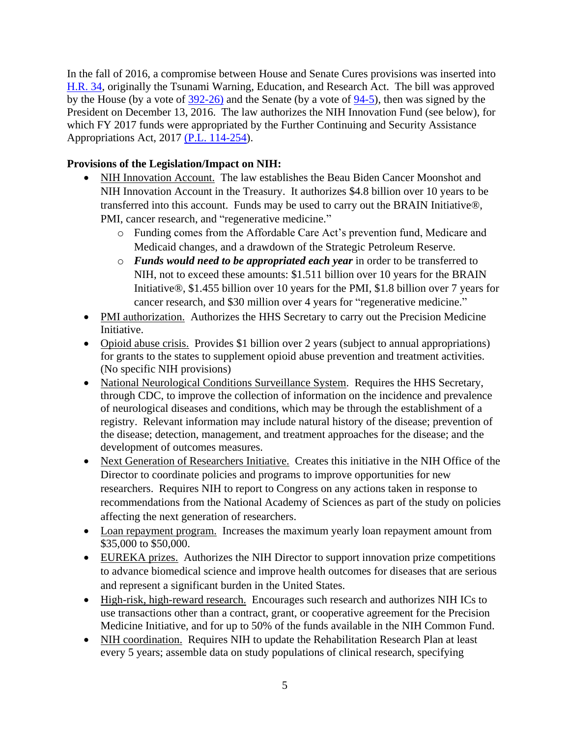In the fall of 2016, a compromise between House and Senate Cures provisions was inserted into [H.R. 34,](https://www.congress.gov/bill/114th-congress/house-bill/34) originally the Tsunami Warning, Education, and Research Act. The bill was approved by the House (by a vote of [392-26\)](http://clerk.house.gov/evs/2016/roll592.xml) and the Senate (by a vote of [94-5\)](http://www.senate.gov/legislative/LIS/roll_call_lists/roll_call_vote_cfm.cfm?congress=114&session=2&vote=00157), then was signed by the President on December 13, 2016. The law authorizes the NIH Innovation Fund (see below), for which FY 2017 funds were appropriated by the Further Continuing and Security Assistance Appropriations Act, 2017 [\(P.L. 114-254\)](https://www.congress.gov/bill/114th-congress/house-bill/2028).

## **Provisions of the Legislation/Impact on NIH:**

- NIH Innovation Account. The law establishes the Beau Biden Cancer Moonshot and NIH Innovation Account in the Treasury. It authorizes \$4.8 billion over 10 years to be transferred into this account. Funds may be used to carry out the BRAIN Initiative®, PMI, cancer research, and "regenerative medicine."
	- o Funding comes from the Affordable Care Act's prevention fund, Medicare and Medicaid changes, and a drawdown of the Strategic Petroleum Reserve.
	- o *Funds would need to be appropriated each year* in order to be transferred to NIH, not to exceed these amounts: \$1.511 billion over 10 years for the BRAIN Initiative®, \$1.455 billion over 10 years for the PMI, \$1.8 billion over 7 years for cancer research, and \$30 million over 4 years for "regenerative medicine."
- PMI authorization. Authorizes the HHS Secretary to carry out the Precision Medicine Initiative.
- Opioid abuse crisis. Provides \$1 billion over 2 years (subject to annual appropriations) for grants to the states to supplement opioid abuse prevention and treatment activities. (No specific NIH provisions)
- National Neurological Conditions Surveillance System. Requires the HHS Secretary, through CDC, to improve the collection of information on the incidence and prevalence of neurological diseases and conditions, which may be through the establishment of a registry. Relevant information may include natural history of the disease; prevention of the disease; detection, management, and treatment approaches for the disease; and the development of outcomes measures.
- Next Generation of Researchers Initiative. Creates this initiative in the NIH Office of the Director to coordinate policies and programs to improve opportunities for new researchers. Requires NIH to report to Congress on any actions taken in response to recommendations from the National Academy of Sciences as part of the study on policies affecting the next generation of researchers.
- Loan repayment program. Increases the maximum yearly loan repayment amount from \$35,000 to \$50,000.
- EUREKA prizes.Authorizes the NIH Director to support innovation prize competitions to advance biomedical science and improve health outcomes for diseases that are serious and represent a significant burden in the United States.
- High-risk, high-reward research. Encourages such research and authorizes NIH ICs to use transactions other than a contract, grant, or cooperative agreement for the Precision Medicine Initiative, and for up to 50% of the funds available in the NIH Common Fund.
- NIH coordination. Requires NIH to update the Rehabilitation Research Plan at least every 5 years; assemble data on study populations of clinical research, specifying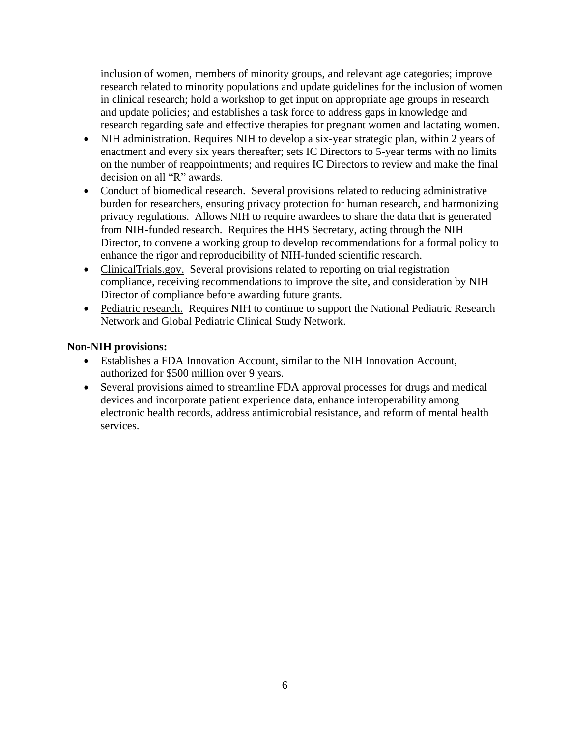inclusion of women, members of minority groups, and relevant age categories; improve research related to minority populations and update guidelines for the inclusion of women in clinical research; hold a workshop to get input on appropriate age groups in research and update policies; and establishes a task force to address gaps in knowledge and research regarding safe and effective therapies for pregnant women and lactating women.

- NIH administration. Requires NIH to develop a six-year strategic plan, within 2 years of enactment and every six years thereafter; sets IC Directors to 5-year terms with no limits on the number of reappointments; and requires IC Directors to review and make the final decision on all "R" awards.
- Conduct of biomedical research. Several provisions related to reducing administrative burden for researchers, ensuring privacy protection for human research, and harmonizing privacy regulations. Allows NIH to require awardees to share the data that is generated from NIH-funded research. Requires the HHS Secretary, acting through the NIH Director, to convene a working group to develop recommendations for a formal policy to enhance the rigor and reproducibility of NIH-funded scientific research.
- ClinicalTrials.gov. Several provisions related to reporting on trial registration compliance, receiving recommendations to improve the site, and consideration by NIH Director of compliance before awarding future grants.
- Pediatric research. Requires NIH to continue to support the National Pediatric Research Network and Global Pediatric Clinical Study Network.

#### **Non-NIH provisions:**

- Establishes a FDA Innovation Account, similar to the NIH Innovation Account, authorized for \$500 million over 9 years.
- Several provisions aimed to streamline FDA approval processes for drugs and medical devices and incorporate patient experience data, enhance interoperability among electronic health records, address antimicrobial resistance, and reform of mental health services.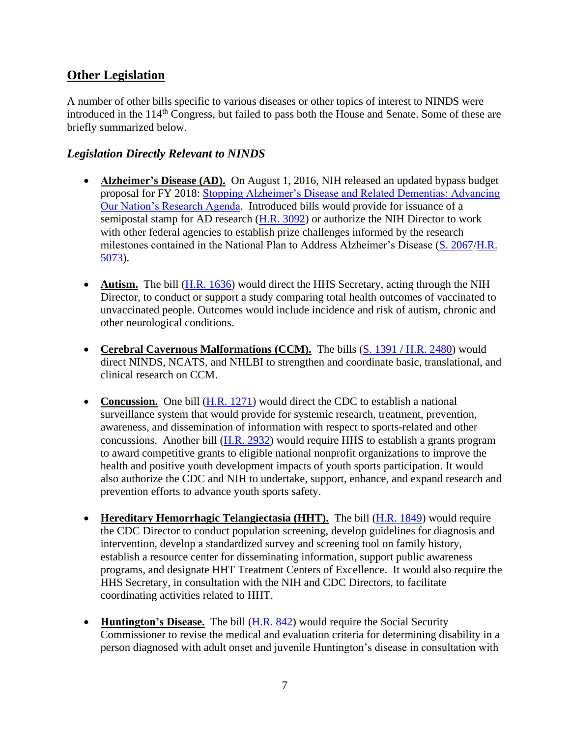## <span id="page-6-0"></span>**Other Legislation**

A number of other bills specific to various diseases or other topics of interest to NINDS were introduced in the 114<sup>th</sup> Congress, but failed to pass both the House and Senate. Some of these are briefly summarized below.

## <span id="page-6-1"></span>*Legislation Directly Relevant to NINDS*

- **Alzheimer's Disease (AD).** On August 1, 2016, NIH released an updated bypass budget proposal for FY 2018: [Stopping Alzheimer's Disease and Related Dementias: Advancing](https://www.nia.nih.gov/alzheimers/publication/stopping-alzheimers-disease-and-related-dementias)  [Our Nation's Research Agenda.](https://www.nia.nih.gov/alzheimers/publication/stopping-alzheimers-disease-and-related-dementias) Introduced bills would provide for issuance of a semipostal stamp for AD research  $(H.R. 3092)$  or authorize the NIH Director to work with other federal agencies to establish prize challenges informed by the research milestones contained in the National Plan to Address Alzheimer's Disease [\(S. 2067/](https://www.congress.gov/bill/114th-congress/senate-bill/2067)[H.R.](https://www.congress.gov/bill/114th-congress/house-bill/5073)  [5073\)](https://www.congress.gov/bill/114th-congress/house-bill/5073).
- **Autism.** The bill [\(H.R. 1636\)](https://www.congress.gov/bill/114th-congress/house-bill/1636) would direct the HHS Secretary, acting through the NIH Director, to conduct or support a study comparing total health outcomes of vaccinated to unvaccinated people. Outcomes would include incidence and risk of autism, chronic and other neurological conditions.
- Cerebral Cavernous Malformations (CCM). The bills [\(S. 1391](https://www.congress.gov/bill/114th-congress/senate-bill/1391/text?q=%7B%22search%22%3A%5B%22%5C%22s1391%5C%22%22%5D%7D) / [H.R. 2480\)](https://www.congress.gov/bill/114th-congress/house-bill/2480/text?q=%7B%22search%22%3A%5B%22%5C%22hr2480%5C%22%22%5D%7D) would direct NINDS, NCATS, and NHLBI to strengthen and coordinate basic, translational, and clinical research on CCM.
- Concussion. One bill [\(H.R. 1271\)](https://www.congress.gov/bill/114th-congress/house-bill/1271) would direct the CDC to establish a national surveillance system that would provide for systemic research, treatment, prevention, awareness, and dissemination of information with respect to sports-related and other concussions. Another bill [\(H.R. 2932\)](https://www.congress.gov/bill/114th-congress/house-bill/2932) would require HHS to establish a grants program to award competitive grants to eligible national nonprofit organizations to improve the health and positive youth development impacts of youth sports participation. It would also authorize the CDC and NIH to undertake, support, enhance, and expand research and prevention efforts to advance youth sports safety.
- **Hereditary Hemorrhagic Telangiectasia (HHT).** The bill [\(H.R. 1849\)](https://www.congress.gov/bill/114th-congress/house-bill/1849) would require the CDC Director to conduct population screening, develop guidelines for diagnosis and intervention, develop a standardized survey and screening tool on family history, establish a resource center for disseminating information, support public awareness programs, and designate HHT Treatment Centers of Excellence. It would also require the HHS Secretary, in consultation with the NIH and CDC Directors, to facilitate coordinating activities related to HHT.
- **Huntington's Disease.** The bill (**H.R. 842**) would require the Social Security Commissioner to revise the medical and evaluation criteria for determining disability in a person diagnosed with adult onset and juvenile Huntington's disease in consultation with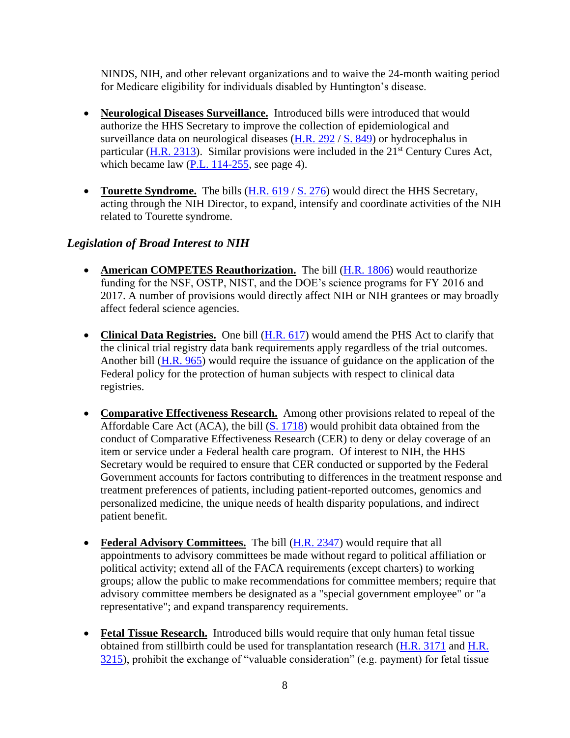NINDS, NIH, and other relevant organizations and to waive the 24-month waiting period for Medicare eligibility for individuals disabled by Huntington's disease.

- Neurological Diseases Surveillance. Introduced bills were introduced that would authorize the HHS Secretary to improve the collection of epidemiological and surveillance data on neurological diseases [\(H.R. 292](https://www.congress.gov/bill/114th-congress/house-bill/292) / [S. 849\)](https://www.congress.gov/bill/114th-congress/senate-bill/849) or hydrocephalus in particular [\(H.R. 2313\)](https://www.congress.gov/bill/114th-congress/house-bill/2313). Similar provisions were included in the  $21<sup>st</sup>$  Century Cures Act, which became law [\(P.L. 114-255,](https://www.congress.gov/bill/114th-congress/house-bill/34) see page [4\)](#page-3-3).
- **Tourette Syndrome.** The bills [\(H.R. 619](https://www.congress.gov/bill/114th-congress/house-bill/619) / [S. 276\)](https://www.congress.gov/bill/114th-congress/senate-bill/276) would direct the HHS Secretary, acting through the NIH Director, to expand, intensify and coordinate activities of the NIH related to Tourette syndrome.

## <span id="page-7-0"></span>*Legislation of Broad Interest to NIH*

- **American COMPETES Reauthorization.** The bill (**H.R. 1806**) would reauthorize funding for the NSF, OSTP, NIST, and the DOE's science programs for FY 2016 and 2017. A number of provisions would directly affect NIH or NIH grantees or may broadly affect federal science agencies.
- Clinical Data Registries. One bill [\(H.R. 617\)](https://www.congress.gov/bill/114th-congress/house-bill/617?q=%7B%22search%22%3A%5B%22HR617%22%5D%7D) would amend the PHS Act to clarify that the clinical trial registry data bank requirements apply regardless of the trial outcomes. Another bill [\(H.R. 965\)](https://www.congress.gov/bill/114th-congress/house-bill/965?q=%7B%22search%22%3A%5B%22hr+965%22%5D%7D) would require the issuance of guidance on the application of the Federal policy for the protection of human subjects with respect to clinical data registries.
- **Comparative Effectiveness Research.** Among other provisions related to repeal of the Affordable Care Act (ACA), the bill [\(S. 1718\)](https://www.congress.gov/bill/114th-congress/senate-bill/1718?q=%7B%22search%22%3A%5B%22%5C%22s1718%5C%22%22%5D%7D) would prohibit data obtained from the conduct of Comparative Effectiveness Research (CER) to deny or delay coverage of an item or service under a Federal health care program. Of interest to NIH, the HHS Secretary would be required to ensure that CER conducted or supported by the Federal Government accounts for factors contributing to differences in the treatment response and treatment preferences of patients, including patient-reported outcomes, genomics and personalized medicine, the unique needs of health disparity populations, and indirect patient benefit.
- Federal Advisory Committees. The bill (**H.R. 2347**) would require that all appointments to advisory committees be made without regard to political affiliation or political activity; extend all of the FACA requirements (except charters) to working groups; allow the public to make recommendations for committee members; require that advisory committee members be designated as a "special government employee" or "a representative"; and expand transparency requirements.
- **Fetal Tissue Research.** Introduced bills would require that only human fetal tissue obtained from stillbirth could be used for transplantation research [\(H.R. 3171](https://www.congress.gov/bill/114th-congress/house-bill/3171?q=%7b%22search%22%3A%5b%22/%22hr3171/%22%22%5d%7d&resultIndex=1) and [H.R.](https://www.congress.gov/bill/114th-congress/house-bill/3215?q=%7b%22search%22%3A%5b%22/%22hr3215/%22%22%5d%7d&resultIndex=1)  [3215\)](https://www.congress.gov/bill/114th-congress/house-bill/3215?q=%7b%22search%22%3A%5b%22/%22hr3215/%22%22%5d%7d&resultIndex=1), prohibit the exchange of "valuable consideration" (e.g. payment) for fetal tissue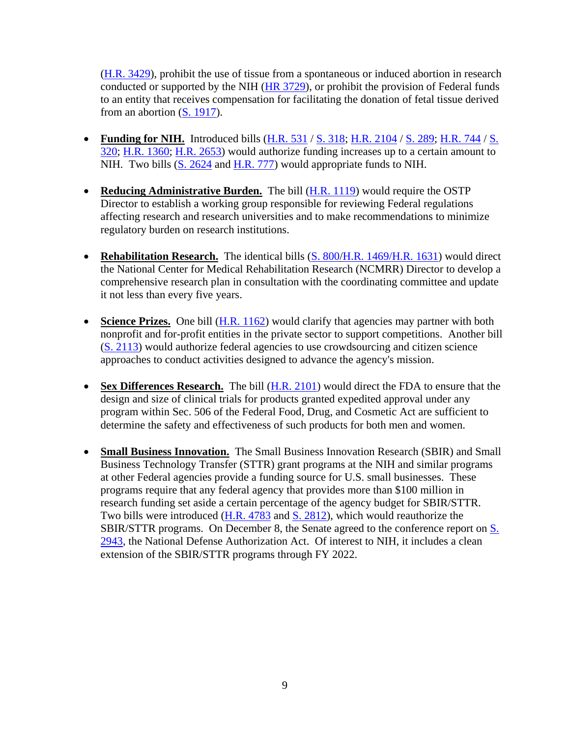[\(H.R. 3429\)](https://www.congress.gov/bill/114th-congress/house-bill/3429?q=%7b%22search%22%3A%5b%22/%22hr3429/%22%22%5d%7d&resultIndex=1), prohibit the use of tissue from a spontaneous or induced abortion in research conducted or supported by the NIH [\(HR 3729\)](https://www.congress.gov/bill/114th-congress/house-bill/3729?q=%7B%22search%22%3A%5B%22%5C%22hr3729%5C%22%22%5D%7D&resultIndex=1), or prohibit the provision of Federal funds to an entity that receives compensation for facilitating the donation of fetal tissue derived from an abortion  $(S. 1917)$ .

- Funding for NIH. Introduced bills  $(H.R. 531 / S. 318; H.R. 2104 / S. 289; H.R. 744 / S.$  $(H.R. 531 / S. 318; H.R. 2104 / S. 289; H.R. 744 / S.$  $(H.R. 531 / S. 318; H.R. 2104 / S. 289; H.R. 744 / S.$  $(H.R. 531 / S. 318; H.R. 2104 / S. 289; H.R. 744 / S.$  $(H.R. 531 / S. 318; H.R. 2104 / S. 289; H.R. 744 / S.$  $(H.R. 531 / S. 318; H.R. 2104 / S. 289; H.R. 744 / S.$  $(H.R. 531 / S. 318; H.R. 2104 / S. 289; H.R. 744 / S.$  $(H.R. 531 / S. 318; H.R. 2104 / S. 289; H.R. 744 / S.$ [320;](https://www.congress.gov/bill/114th-congress/senate-bill/320?q=%7b%22search%22%3A%5B%22S+320%22%5D%7d) [H.R. 1360;](https://www.congress.gov/bill/114th-congress/house-bill/1360?q=%7b%22search%22%3A%5b%22hr+1360%22%5d%7d) [H.R. 2653\)](https://www.congress.gov/bill/114th-congress/house-bill/2653?q=%7b%22search%22%3A%5b%22/%22hr2653/%22%22%5d%7d) would authorize funding increases up to a certain amount to NIH. Two bills [\(S. 2624](https://www.congress.gov/bill/114th-congress/senate-bill/2624) and [H.R. 777\)](https://www.congress.gov/bill/114th-congress/house-bill/777?q=%7b%22search%22%3A%5B%22HR+777%22%5D%7d) would appropriate funds to NIH.
- **Reducing Administrative Burden.** The bill [\(H.R. 1119\)](https://www.congress.gov/bill/114th-congress/house-bill/1119?q=%7B%22search%22%3A%5B%22hr1119%22%5D%7D) would require the OSTP Director to establish a working group responsible for reviewing Federal regulations affecting research and research universities and to make recommendations to minimize regulatory burden on research institutions.
- Rehabilitation Research. The identical bills [\(S. 800](https://www.congress.gov/bill/114th-congress/senate-bill/800?q=%7b%22search%22%3A%5b%22s+800%22%5d%7d)[/H.R. 1469](https://www.congress.gov/bill/114th-congress/house-bill/1469?q=%7b%22search%22%3A%5b%22hr+1469%22%5d%7d)[/H.R. 1631\)](https://www.congress.gov/bill/114th-congress/house-bill/1631?q=%7b%22search%22%3A%5b%22hr+1631%22%5d%7d) would direct the National Center for Medical Rehabilitation Research (NCMRR) Director to develop a comprehensive research plan in consultation with the coordinating committee and update it not less than every five years.
- Science Prizes. One bill [\(H.R. 1162\)](https://www.congress.gov/bill/114th-congress/house-bill/1162/text?q=%7B%22search%22%3A%5B%22hr+1162%22%5D%7D) would clarify that agencies may partner with both nonprofit and for-profit entities in the private sector to support competitions. Another bill [\(S. 2113\)](https://www.congress.gov/bill/114th-congress/senate-bill/2113) would authorize federal agencies to use crowdsourcing and citizen science approaches to conduct activities designed to advance the agency's mission.
- Sex Differences Research. The bill [\(H.R. 2101\)](https://www.congress.gov/bill/114th-congress/house-bill/2101?q=%7B%22search%22%3A%5B%22HR2101%22%5D%7D) would direct the FDA to ensure that the design and size of clinical trials for products granted expedited approval under any program within Sec. 506 of the Federal Food, Drug, and Cosmetic Act are sufficient to determine the safety and effectiveness of such products for both men and women.
- **Small Business Innovation.** The Small Business Innovation Research (SBIR) and Small Business Technology Transfer (STTR) grant programs at the NIH and similar programs at other Federal agencies provide a funding source for U.S. small businesses. These programs require that any federal agency that provides more than \$100 million in research funding set aside a certain percentage of the agency budget for SBIR/STTR. Two bills were introduced [\(H.R. 4783](https://www.congress.gov/bill/114th-congress/house-bill/4783) and [S. 2812\)](https://www.congress.gov/bill/114th-congress/senate-bill/2812), which would reauthorize the SBIR/STTR programs. On December 8, the Senate agreed to the conference report on [S.](https://www.congress.gov/bill/114th-congress/senate-bill/2943?q=%7B%22search%22%3A%5B%22S.+2943%22%5D%7D&r=1)  [2943,](https://www.congress.gov/bill/114th-congress/senate-bill/2943?q=%7B%22search%22%3A%5B%22S.+2943%22%5D%7D&r=1) the National Defense Authorization Act. Of interest to NIH, it includes a clean extension of the SBIR/STTR programs through FY 2022.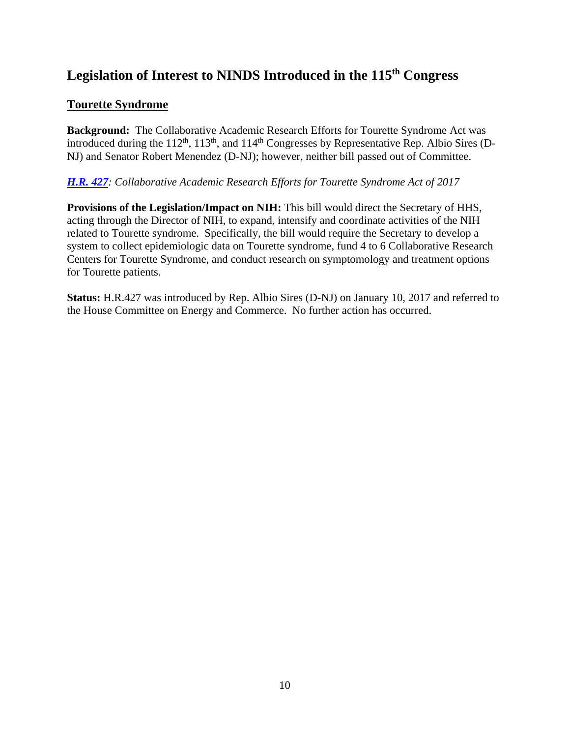# <span id="page-9-0"></span>**Legislation of Interest to NINDS Introduced in the 115th Congress**

## **Tourette Syndrome**

**Background:** The Collaborative Academic Research Efforts for Tourette Syndrome Act was introduced during the  $112<sup>th</sup>$ ,  $113<sup>th</sup>$ , and  $114<sup>th</sup>$  Congresses by Representative Rep. Albio Sires (D-NJ) and Senator Robert Menendez (D-NJ); however, neither bill passed out of Committee.

## *[H.R.](https://www.congress.gov/bill/115th-congress/house-bill/427?q=%7B%22search%22%3A%5B%22HR+427%22%5D%7D&r=1) 427: Collaborative Academic Research Efforts for Tourette Syndrome Act of 2017*

**Provisions of the Legislation/Impact on NIH:** This bill would direct the Secretary of HHS, acting through the Director of NIH, to expand, intensify and coordinate activities of the NIH related to Tourette syndrome. Specifically, the bill would require the Secretary to develop a system to collect epidemiologic data on Tourette syndrome, fund 4 to 6 Collaborative Research Centers for Tourette Syndrome, and conduct research on symptomology and treatment options for Tourette patients.

**Status:** H.R.427 was introduced by Rep. Albio Sires (D-NJ) on January 10, 2017 and referred to the House Committee on Energy and Commerce. No further action has occurred.